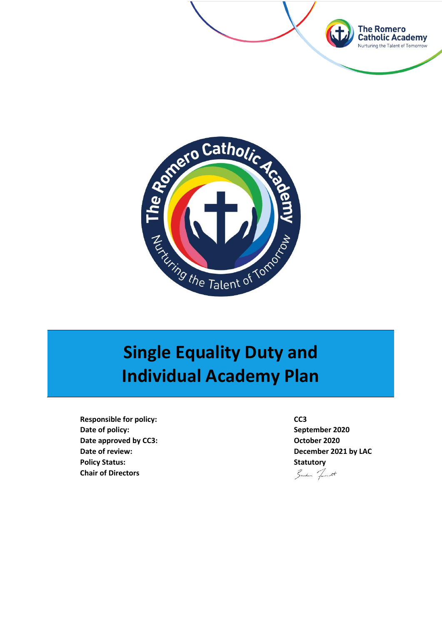



# **Single Equality Duty and Individual Academy Plan**

**Responsible for policy: CC3 Date of policy: September 2020 Date approved by CC3: COMPONE 2020 Date of review: December 2021 by LAC Policy Status: Statutory Chair of Directors**

Sundan Townett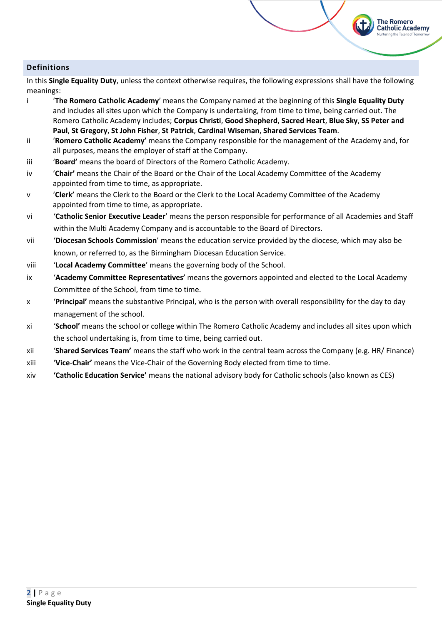# **Definitions**

In this **Single Equality Duty**, unless the context otherwise requires, the following expressions shall have the following meanings:

**The Romero Catholic Academy** 

- i '**The Romero Catholic Academy**' means the Company named at the beginning of this **Single Equality Duty** and includes all sites upon which the Company is undertaking, from time to time, being carried out. The Romero Catholic Academy includes; **Corpus Christi**, **Good Shepherd**, **Sacred Heart**, **Blue Sky**, **SS Peter and Paul**, **St Gregory**, **St John Fisher**, **St Patrick**, **Cardinal Wiseman**, **Shared Services Team**.
- ii '**Romero Catholic Academy'** means the Company responsible for the management of the Academy and, for all purposes, means the employer of staff at the Company.
- iii '**Board'** means the board of Directors of the Romero Catholic Academy.
- iv '**Chair'** means the Chair of the Board or the Chair of the Local Academy Committee of the Academy appointed from time to time, as appropriate.
- v '**Clerk'** means the Clerk to the Board or the Clerk to the Local Academy Committee of the Academy appointed from time to time, as appropriate.
- vi '**Catholic Senior Executive Leader**' means the person responsible for performance of all Academies and Staff within the Multi Academy Company and is accountable to the Board of Directors.
- vii '**Diocesan Schools Commission**' means the education service provided by the diocese, which may also be known, or referred to, as the Birmingham Diocesan Education Service.
- viii '**Local Academy Committee**' means the governing body of the School.
- ix '**Academy Committee Representatives'** means the governors appointed and elected to the Local Academy Committee of the School, from time to time.
- x '**Principal'** means the substantive Principal, who is the person with overall responsibility for the day to day management of the school.
- xi '**School'** means the school or college within The Romero Catholic Academy and includes all sites upon which the school undertaking is, from time to time, being carried out.
- xii '**Shared Services Team'** means the staff who work in the central team across the Company (e.g. HR/ Finance)
- xiii '**Vice**-**Chair'** means the Vice-Chair of the Governing Body elected from time to time.
- xiv **'Catholic Education Service'** means the national advisory body for Catholic schools (also known as CES)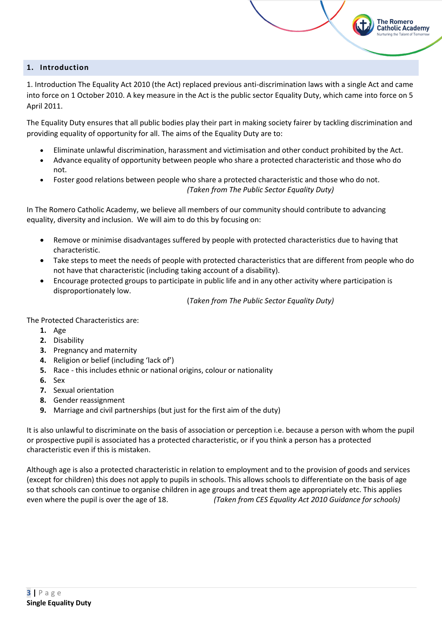# **1. Introduction**

1. Introduction The Equality Act 2010 (the Act) replaced previous anti-discrimination laws with a single Act and came into force on 1 October 2010. A key measure in the Act is the public sector Equality Duty, which came into force on 5 April 2011.

**The Romero Catholic Academy** 

The Equality Duty ensures that all public bodies play their part in making society fairer by tackling discrimination and providing equality of opportunity for all. The aims of the Equality Duty are to:

- Eliminate unlawful discrimination, harassment and victimisation and other conduct prohibited by the Act.
- Advance equality of opportunity between people who share a protected characteristic and those who do not.
- Foster good relations between people who share a protected characteristic and those who do not. *(Taken from The Public Sector Equality Duty)*

In The Romero Catholic Academy, we believe all members of our community should contribute to advancing equality, diversity and inclusion. We will aim to do this by focusing on:

- Remove or minimise disadvantages suffered by people with protected characteristics due to having that characteristic.
- Take steps to meet the needs of people with protected characteristics that are different from people who do not have that characteristic (including taking account of a disability).
- Encourage protected groups to participate in public life and in any other activity where participation is disproportionately low.

(*Taken from The Public Sector Equality Duty)*

The Protected Characteristics are:

- **1.** Age
- **2.** Disability
- **3.** Pregnancy and maternity
- **4.** Religion or belief (including 'lack of')
- **5.** Race this includes ethnic or national origins, colour or nationality
- **6.** Sex
- **7.** Sexual orientation
- **8.** Gender reassignment
- **9.** Marriage and civil partnerships (but just for the first aim of the duty)

It is also unlawful to discriminate on the basis of association or perception i.e. because a person with whom the pupil or prospective pupil is associated has a protected characteristic, or if you think a person has a protected characteristic even if this is mistaken.

Although age is also a protected characteristic in relation to employment and to the provision of goods and services (except for children) this does not apply to pupils in schools. This allows schools to differentiate on the basis of age so that schools can continue to organise children in age groups and treat them age appropriately etc. This applies even where the pupil is over the age of 18. *(Taken from CES Equality Act 2010 Guidance for schools)*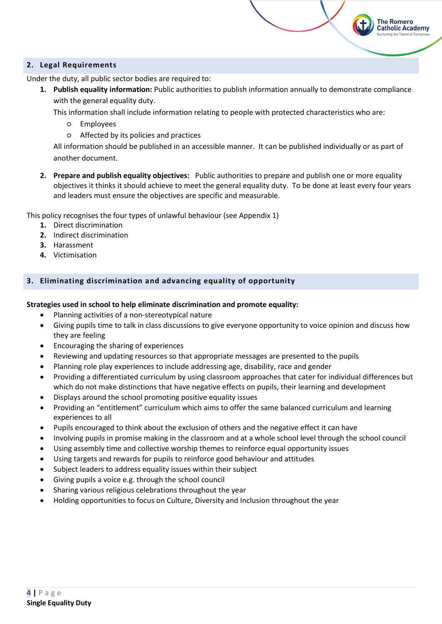# **2. Legal Requirements**

Under the duty, all public sector bodies are required to:

**1. Publish equality information:** Public authorities to publish information annually to demonstrate compliance with the general equality duty.

**The Romero Catholic Academy** 

This information shall include information relating to people with protected characteristics who are:

- Employees
- Affected by its policies and practices

All information should be published in an accessible manner. It can be published individually or as part of another document.

**2. Prepare and publish equality objectives:** Public authorities to prepare and publish one or more equality objectives it thinks it should achieve to meet the general equality duty. To be done at least every four years and leaders must ensure the objectives are specific and measurable.

This policy recognises the four types of unlawful behaviour (see Appendix 1)

- **1.** Direct discrimination
- **2.** Indirect discrimination
- **3.** Harassment
- **4.** Victimisation

# **3. Eliminating discrimination and advancing equality of opportunity**

### **Strategies used in school to help eliminate discrimination and promote equality:**

- Planning activities of a non-stereotypical nature
- Giving pupils time to talk in class discussions to give everyone opportunity to voice opinion and discuss how they are feeling
- Encouraging the sharing of experiences
- Reviewing and updating resources so that appropriate messages are presented to the pupils
- Planning role play experiences to include addressing age, disability, race and gender
- Providing a differentiated curriculum by using classroom approaches that cater for individual differences but which do not make distinctions that have negative effects on pupils, their learning and development
- Displays around the school promoting positive equality issues
- Providing an "entitlement" curriculum which aims to offer the same balanced curriculum and learning experiences to all
- Pupils encouraged to think about the exclusion of others and the negative effect it can have
- Involving pupils in promise making in the classroom and at a whole school level through the school council
- Using assembly time and collective worship themes to reinforce equal opportunity issues
- Using targets and rewards for pupils to reinforce good behaviour and attitudes
- Subject leaders to address equality issues within their subject
- Giving pupils a voice e.g. through the school council
- Sharing various religious celebrations throughout the year
- Holding opportunities to focus on Culture, Diversity and Inclusion throughout the year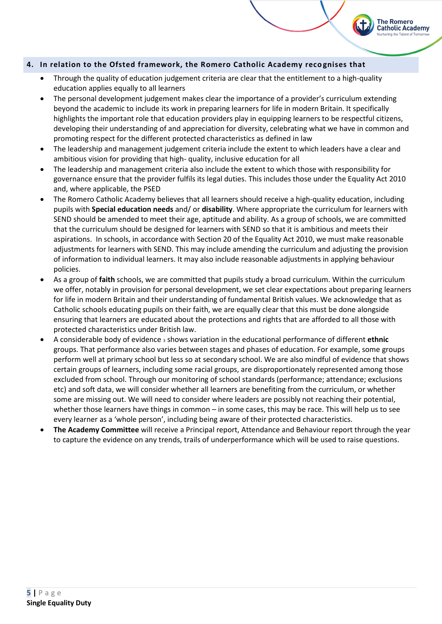# **4. In relation to the Ofsted framework, the Romero Catholic Academy reco gnises that**

- Through the quality of education judgement criteria are clear that the entitlement to a high-quality education applies equally to all learners
- The personal development judgement makes clear the importance of a provider's curriculum extending beyond the academic to include its work in preparing learners for life in modern Britain. It specifically highlights the important role that education providers play in equipping learners to be respectful citizens, developing their understanding of and appreciation for diversity, celebrating what we have in common and promoting respect for the different protected characteristics as defined in law

**The Romero Catholic Academy** 

- The leadership and management judgement criteria include the extent to which leaders have a clear and ambitious vision for providing that high- quality, inclusive education for all
- The leadership and management criteria also include the extent to which those with responsibility for governance ensure that the provider fulfils its legal duties. This includes those under the Equality Act 2010 and, where applicable, the PSED
- The Romero Catholic Academy believes that all learners should receive a high-quality education, including pupils with **Special education needs** and/ or **disability**. Where appropriate the curriculum for learners with SEND should be amended to meet their age, aptitude and ability. As a group of schools, we are committed that the curriculum should be designed for learners with SEND so that it is ambitious and meets their aspirations. In schools, in accordance with Section 20 of the Equality Act 2010, we must make reasonable adjustments for learners with SEND. This may include amending the curriculum and adjusting the provision of information to individual learners. It may also include reasonable adjustments in applying behaviour policies.
- As a group of **faith** schools, we are committed that pupils study a broad curriculum. Within the curriculum we offer, notably in provision for personal development, we set clear expectations about preparing learners for life in modern Britain and their understanding of fundamental British values. We acknowledge that as Catholic schools educating pupils on their faith, we are equally clear that this must be done alongside ensuring that learners are educated about the protections and rights that are afforded to all those with protected characteristics under British law.
- A considerable body of evidence <sup>3</sup> shows variation in the educational performance of different **ethnic** groups. That performance also varies between stages and phases of education. For example, some groups perform well at primary school but less so at secondary school. We are also mindful of evidence that shows certain groups of learners, including some racial groups, are disproportionately represented among those excluded from school. Through our monitoring of school standards (performance; attendance; exclusions etc) and soft data, we will consider whether all learners are benefiting from the curriculum, or whether some are missing out. We will need to consider where leaders are possibly not reaching their potential, whether those learners have things in common – in some cases, this may be race. This will help us to see every learner as a 'whole person', including being aware of their protected characteristics.
- **The Academy Committee** will receive a Principal report, Attendance and Behaviour report through the year to capture the evidence on any trends, trails of underperformance which will be used to raise questions.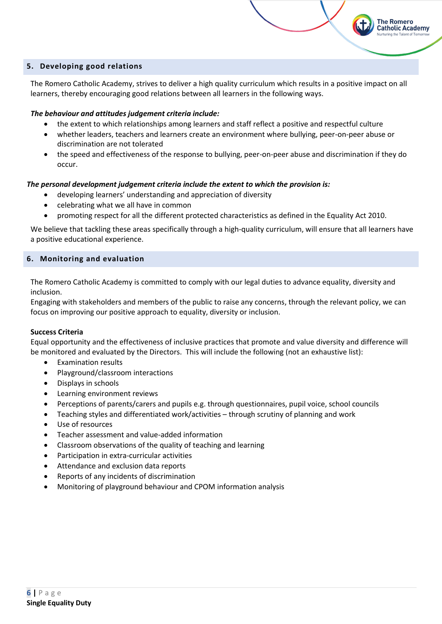# **5. Developing good relations**

The Romero Catholic Academy, strives to deliver a high quality curriculum which results in a positive impact on all learners, thereby encouraging good relations between all learners in the following ways.

**The Romero Catholic Academy** 

### *The behaviour and attitudes judgement criteria include:*

- the extent to which relationships among learners and staff reflect a positive and respectful culture
- whether leaders, teachers and learners create an environment where bullying, peer-on-peer abuse or discrimination are not tolerated
- the speed and effectiveness of the response to bullying, peer-on-peer abuse and discrimination if they do occur.

# *The personal development judgement criteria include the extent to which the provision is:*

- developing learners' understanding and appreciation of diversity
- celebrating what we all have in common
- promoting respect for all the different protected characteristics as defined in the Equality Act 2010.

We believe that tackling these areas specifically through a high-quality curriculum, will ensure that all learners have a positive educational experience.

### **6. Monitoring and evaluation**

The Romero Catholic Academy is committed to comply with our legal duties to advance equality, diversity and inclusion.

Engaging with stakeholders and members of the public to raise any concerns, through the relevant policy, we can focus on improving our positive approach to equality, diversity or inclusion.

### **Success Criteria**

Equal opportunity and the effectiveness of inclusive practices that promote and value diversity and difference will be monitored and evaluated by the Directors. This will include the following (not an exhaustive list):

- Examination results
- Playground/classroom interactions
- Displays in schools
- Learning environment reviews
- Perceptions of parents/carers and pupils e.g. through questionnaires, pupil voice, school councils
- Teaching styles and differentiated work/activities through scrutiny of planning and work
- Use of resources
- Teacher assessment and value-added information
- Classroom observations of the quality of teaching and learning
- Participation in extra-curricular activities
- Attendance and exclusion data reports
- Reports of any incidents of discrimination
- Monitoring of playground behaviour and CPOM information analysis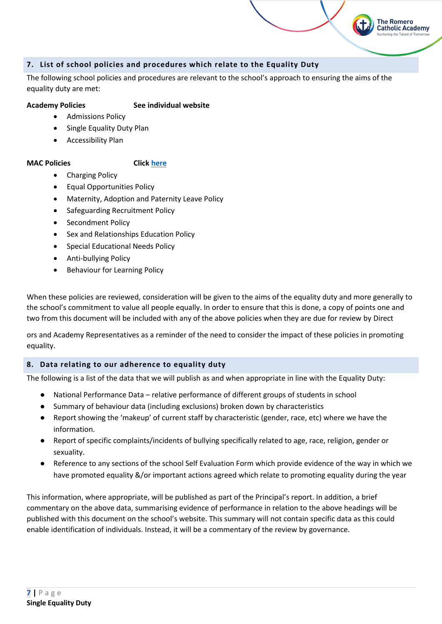# **7. List of school policies and procedures which relate to the Equality Duty**

The following school policies and procedures are relevant to the school's approach to ensuring the aims of the equality duty are met:

**The Romero Catholic Academy** 

# **Academy Policies See individual website**

- Admissions Policy
- Single Equality Duty Plan
- Accessibility Plan

# **MAC Policies Clic[k here](https://romeromac.com/policies-procedures/)**

- Charging Policy
- Equal Opportunities Policy
- Maternity, Adoption and Paternity Leave Policy
- Safeguarding Recruitment Policy
- Secondment Policy
- Sex and Relationships Education Policy
- Special Educational Needs Policy
- Anti-bullying Policy
- Behaviour for Learning Policy

When these policies are reviewed, consideration will be given to the aims of the equality duty and more generally to the school's commitment to value all people equally. In order to ensure that this is done, a copy of points one and two from this document will be included with any of the above policies when they are due for review by Direct

ors and Academy Representatives as a reminder of the need to consider the impact of these policies in promoting equality.

# **8. Data relating to our adherence to equality duty**

The following is a list of the data that we will publish as and when appropriate in line with the Equality Duty:

- National Performance Data relative performance of different groups of students in school
- Summary of behaviour data (including exclusions) broken down by characteristics
- Report showing the 'makeup' of current staff by characteristic (gender, race, etc) where we have the information.
- Report of specific complaints/incidents of bullying specifically related to age, race, religion, gender or sexuality.
- Reference to any sections of the school Self Evaluation Form which provide evidence of the way in which we have promoted equality &/or important actions agreed which relate to promoting equality during the year

This information, where appropriate, will be published as part of the Principal's report. In addition, a brief commentary on the above data, summarising evidence of performance in relation to the above headings will be published with this document on the school's website. This summary will not contain specific data as this could enable identification of individuals. Instead, it will be a commentary of the review by governance.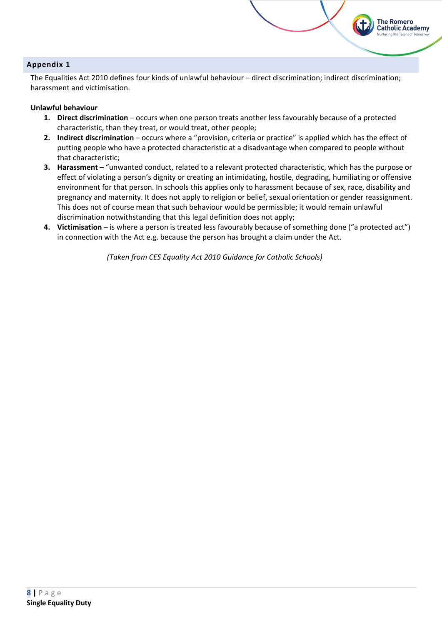# **Appendix 1**

The Equalities Act 2010 defines four kinds of unlawful behaviour – direct discrimination; indirect discrimination; harassment and victimisation.

**The Romero Catholic Academy** 

# **Unlawful behaviour**

- **1. Direct discrimination** occurs when one person treats another less favourably because of a protected characteristic, than they treat, or would treat, other people;
- **2. Indirect discrimination** occurs where a "provision, criteria or practice" is applied which has the effect of putting people who have a protected characteristic at a disadvantage when compared to people without that characteristic;
- **3. Harassment** "unwanted conduct, related to a relevant protected characteristic, which has the purpose or effect of violating a person's dignity or creating an intimidating, hostile, degrading, humiliating or offensive environment for that person. In schools this applies only to harassment because of sex, race, disability and pregnancy and maternity. It does not apply to religion or belief, sexual orientation or gender reassignment. This does not of course mean that such behaviour would be permissible; it would remain unlawful discrimination notwithstanding that this legal definition does not apply;
- **4. Victimisation** is where a person is treated less favourably because of something done ("a protected act") in connection with the Act e.g. because the person has brought a claim under the Act.

*(Taken from CES Equality Act 2010 Guidance for Catholic Schools)*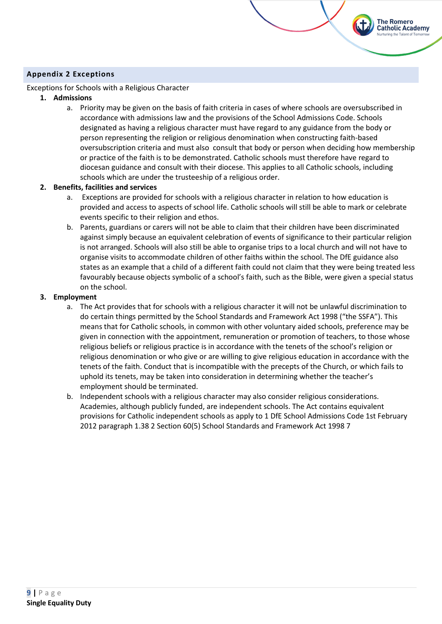# **Appendix 2 Exceptions**

# Exceptions for Schools with a Religious Character

# **1. Admissions**

a. Priority may be given on the basis of faith criteria in cases of where schools are oversubscribed in accordance with admissions law and the provisions of the School Admissions Code. Schools designated as having a religious character must have regard to any guidance from the body or person representing the religion or religious denomination when constructing faith-based oversubscription criteria and must also consult that body or person when deciding how membership or practice of the faith is to be demonstrated. Catholic schools must therefore have regard to diocesan guidance and consult with their diocese. This applies to all Catholic schools, including schools which are under the trusteeship of a religious order.

**The Romero Catholic Academy** 

# **2. Benefits, facilities and services**

- a. Exceptions are provided for schools with a religious character in relation to how education is provided and access to aspects of school life. Catholic schools will still be able to mark or celebrate events specific to their religion and ethos.
- b. Parents, guardians or carers will not be able to claim that their children have been discriminated against simply because an equivalent celebration of events of significance to their particular religion is not arranged. Schools will also still be able to organise trips to a local church and will not have to organise visits to accommodate children of other faiths within the school. The DfE guidance also states as an example that a child of a different faith could not claim that they were being treated less favourably because objects symbolic of a school's faith, such as the Bible, were given a special status on the school.

# **3. Employment**

- a. The Act provides that for schools with a religious character it will not be unlawful discrimination to do certain things permitted by the School Standards and Framework Act 1998 ("the SSFA"). This means that for Catholic schools, in common with other voluntary aided schools, preference may be given in connection with the appointment, remuneration or promotion of teachers, to those whose religious beliefs or religious practice is in accordance with the tenets of the school's religion or religious denomination or who give or are willing to give religious education in accordance with the tenets of the faith. Conduct that is incompatible with the precepts of the Church, or which fails to uphold its tenets, may be taken into consideration in determining whether the teacher's employment should be terminated.
- b. Independent schools with a religious character may also consider religious considerations. Academies, although publicly funded, are independent schools. The Act contains equivalent provisions for Catholic independent schools as apply to 1 DfE School Admissions Code 1st February 2012 paragraph 1.38 2 Section 60(5) School Standards and Framework Act 1998 7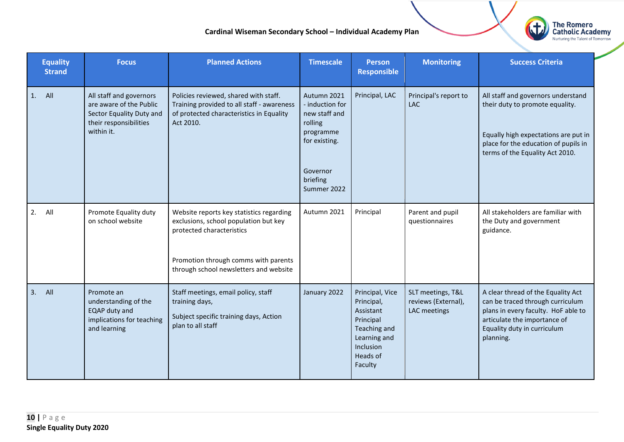# **Cardinal Wiseman Secondary School – Individual Academy Plan**



|    | <b>Equality</b><br><b>Strand</b> | <b>Focus</b>                                                                                                           | <b>Planned Actions</b>                                                                                                                                                                           | <b>Timescale</b>                                                                                                                | <b>Person</b><br><b>Responsible</b>                                                                                         | <b>Monitoring</b>                                        | <b>Success Criteria</b>                                                                                                                                                                   |
|----|----------------------------------|------------------------------------------------------------------------------------------------------------------------|--------------------------------------------------------------------------------------------------------------------------------------------------------------------------------------------------|---------------------------------------------------------------------------------------------------------------------------------|-----------------------------------------------------------------------------------------------------------------------------|----------------------------------------------------------|-------------------------------------------------------------------------------------------------------------------------------------------------------------------------------------------|
| 1. | All                              | All staff and governors<br>are aware of the Public<br>Sector Equality Duty and<br>their responsibilities<br>within it. | Policies reviewed, shared with staff.<br>Training provided to all staff - awareness<br>of protected characteristics in Equality<br>Act 2010.                                                     | Autumn 2021<br>- induction for<br>new staff and<br>rolling<br>programme<br>for existing.<br>Governor<br>briefing<br>Summer 2022 | Principal, LAC                                                                                                              | Principal's report to<br><b>LAC</b>                      | All staff and governors understand<br>their duty to promote equality.<br>Equally high expectations are put in<br>place for the education of pupils in<br>terms of the Equality Act 2010.  |
| 2. | All                              | Promote Equality duty<br>on school website                                                                             | Website reports key statistics regarding<br>exclusions, school population but key<br>protected characteristics<br>Promotion through comms with parents<br>through school newsletters and website | Autumn 2021                                                                                                                     | Principal                                                                                                                   | Parent and pupil<br>questionnaires                       | All stakeholders are familiar with<br>the Duty and government<br>guidance.                                                                                                                |
| 3. | All                              | Promote an<br>understanding of the<br>EQAP duty and<br>implications for teaching<br>and learning                       | Staff meetings, email policy, staff<br>training days,<br>Subject specific training days, Action<br>plan to all staff                                                                             | January 2022                                                                                                                    | Principal, Vice<br>Principal,<br>Assistant<br>Principal<br>Teaching and<br>Learning and<br>Inclusion<br>Heads of<br>Faculty | SLT meetings, T&L<br>reviews (External),<br>LAC meetings | A clear thread of the Equality Act<br>can be traced through curriculum<br>plans in every faculty. HoF able to<br>articulate the importance of<br>Equality duty in curriculum<br>planning. |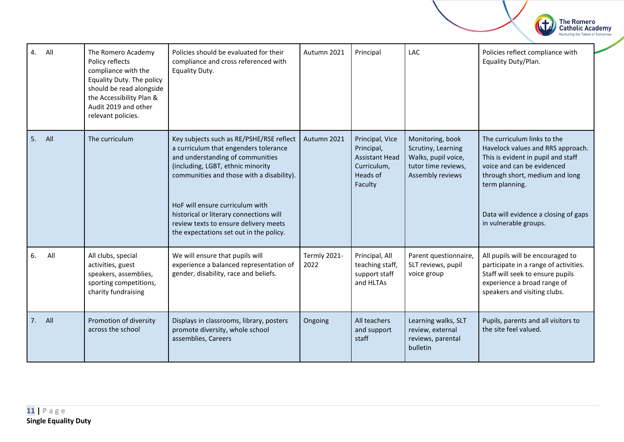

| 4.<br>All | The Romero Academy<br>Policy reflects<br>compliance with the<br>Equality Duty. The policy<br>should be read alongside<br>the Accessibility Plan &<br>Audit 2019 and other<br>relevant policies. | Policies should be evaluated for their<br>compliance and cross referenced with<br>Equality Duty.                                                                                                                                                                                                                                                                          | Autumn 2021          | Principal                                                                                    | LAC                                                                                                      | Policies reflect compliance with<br>Equality Duty/Plan.                                                                                                                                                                                                   |
|-----------|-------------------------------------------------------------------------------------------------------------------------------------------------------------------------------------------------|---------------------------------------------------------------------------------------------------------------------------------------------------------------------------------------------------------------------------------------------------------------------------------------------------------------------------------------------------------------------------|----------------------|----------------------------------------------------------------------------------------------|----------------------------------------------------------------------------------------------------------|-----------------------------------------------------------------------------------------------------------------------------------------------------------------------------------------------------------------------------------------------------------|
| 5.<br>All | The curriculum                                                                                                                                                                                  | Key subjects such as RE/PSHE/RSE reflect<br>a curriculum that engenders tolerance<br>and understanding of communities<br>(including, LGBT, ethnic minority<br>communities and those with a disability).<br>HoF will ensure curriculum with<br>historical or literary connections will<br>review texts to ensure delivery meets<br>the expectations set out in the policy. | Autumn 2021          | Principal, Vice<br>Principal,<br><b>Assistant Head</b><br>Curriculum,<br>Heads of<br>Faculty | Monitoring, book<br>Scrutiny, Learning<br>Walks, pupil voice,<br>tutor time reviews,<br>Assembly reviews | The curriculum links to the<br>Havelock values and RRS approach.<br>This is evident in pupil and staff<br>voice and can be evidenced<br>through short, medium and long<br>term planning.<br>Data will evidence a closing of gaps<br>in vulnerable groups. |
| 6.<br>All | All clubs, special<br>activities, guest<br>speakers, assemblies,<br>sporting competitions,<br>charity fundraising                                                                               | We will ensure that pupils will<br>experience a balanced representation of<br>gender, disability, race and beliefs.                                                                                                                                                                                                                                                       | Termly 2021-<br>2022 | Principal, All<br>teaching staff,<br>support staff<br>and HLTAs                              | Parent questionnaire,<br>SLT reviews, pupil<br>voice group                                               | All pupils will be encouraged to<br>participate in a range of activities.<br>Staff will seek to ensure pupils<br>experience a broad range of<br>speakers and visiting clubs.                                                                              |
| $7.$ All  | Promotion of diversity<br>across the school                                                                                                                                                     | Displays in classrooms, library, posters<br>promote diversity, whole school<br>assemblies, Careers                                                                                                                                                                                                                                                                        | Ongoing              | All teachers<br>and support<br>staff                                                         | Learning walks, SLT<br>review, external<br>reviews, parental<br>bulletin                                 | Pupils, parents and all visitors to<br>the site feel valued.                                                                                                                                                                                              |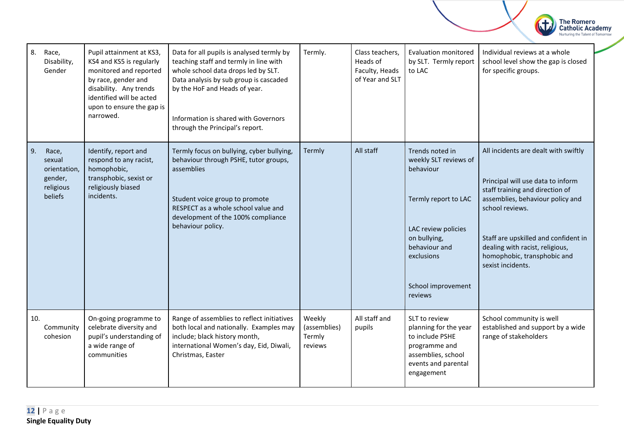| 8.  | Race,<br>Disability,<br>Gender                                     | Pupil attainment at KS3,<br>KS4 and KS5 is regularly<br>monitored and reported<br>by race, gender and<br>disability. Any trends<br>identified will be acted<br>upon to ensure the gap is<br>narrowed. | Data for all pupils is analysed termly by<br>teaching staff and termly in line with<br>whole school data drops led by SLT.<br>Data analysis by sub group is cascaded<br>by the HoF and Heads of year.<br>Information is shared with Governors<br>through the Principal's report. | Termly.                                     | Class teachers,<br>Heads of<br>Faculty, Heads<br>of Year and SLT | <b>Evaluation monitored</b><br>by SLT. Termly report<br>to LAC                                                                                                                       | Individual reviews at a whole<br>school level show the gap is closed<br>for specific groups.                                                                                                                                                                                                       |
|-----|--------------------------------------------------------------------|-------------------------------------------------------------------------------------------------------------------------------------------------------------------------------------------------------|----------------------------------------------------------------------------------------------------------------------------------------------------------------------------------------------------------------------------------------------------------------------------------|---------------------------------------------|------------------------------------------------------------------|--------------------------------------------------------------------------------------------------------------------------------------------------------------------------------------|----------------------------------------------------------------------------------------------------------------------------------------------------------------------------------------------------------------------------------------------------------------------------------------------------|
| 9.  | Race,<br>sexual<br>orientation,<br>gender,<br>religious<br>beliefs | Identify, report and<br>respond to any racist,<br>homophobic,<br>transphobic, sexist or<br>religiously biased<br>incidents.                                                                           | Termly focus on bullying, cyber bullying,<br>behaviour through PSHE, tutor groups,<br>assemblies<br>Student voice group to promote<br>RESPECT as a whole school value and<br>development of the 100% compliance<br>behaviour policy.                                             | Termly                                      | All staff                                                        | Trends noted in<br>weekly SLT reviews of<br>behaviour<br>Termly report to LAC<br>LAC review policies<br>on bullying,<br>behaviour and<br>exclusions<br>School improvement<br>reviews | All incidents are dealt with swiftly<br>Principal will use data to inform<br>staff training and direction of<br>assemblies, behaviour policy and<br>school reviews.<br>Staff are upskilled and confident in<br>dealing with racist, religious,<br>homophobic, transphobic and<br>sexist incidents. |
| 10. | Community<br>cohesion                                              | On-going programme to<br>celebrate diversity and<br>pupil's understanding of<br>a wide range of<br>communities                                                                                        | Range of assemblies to reflect initiatives<br>both local and nationally. Examples may<br>include; black history month,<br>international Women's day, Eid, Diwali,<br>Christmas, Easter                                                                                           | Weekly<br>(assemblies)<br>Termly<br>reviews | All staff and<br>pupils                                          | SLT to review<br>planning for the year<br>to include PSHE<br>programme and<br>assemblies, school<br>events and parental<br>engagement                                                | School community is well<br>established and support by a wide<br>range of stakeholders                                                                                                                                                                                                             |

The Romero<br>Catholic Academy<br>Nurturing the Talent of Tomorrow